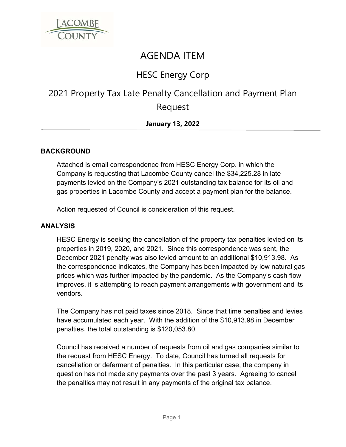

# AGENDA ITEM

### HESC Energy Corp

## 2021 Property Tax Late Penalty Cancellation and Payment Plan Request

### **January 13, 2022**

#### **BACKGROUND**

Attached is email correspondence from HESC Energy Corp. in which the Company is requesting that Lacombe County cancel the \$34,225.28 in late payments levied on the Company's 2021 outstanding tax balance for its oil and gas properties in Lacombe County and accept a payment plan for the balance.

Action requested of Council is consideration of this request.

#### **ANALYSIS**

HESC Energy is seeking the cancellation of the property tax penalties levied on its properties in 2019, 2020, and 2021. Since this correspondence was sent, the December 2021 penalty was also levied amount to an additional \$10,913.98. As the correspondence indicates, the Company has been impacted by low natural gas prices which was further impacted by the pandemic. As the Company's cash flow improves, it is attempting to reach payment arrangements with government and its vendors.

The Company has not paid taxes since 2018. Since that time penalties and levies have accumulated each year. With the addition of the \$10,913.98 in December penalties, the total outstanding is \$120,053.80.

Council has received a number of requests from oil and gas companies similar to the request from HESC Energy. To date, Council has turned all requests for cancellation or deferment of penalties. In this particular case, the company in question has not made any payments over the past 3 years. Agreeing to cancel the penalties may not result in any payments of the original tax balance.